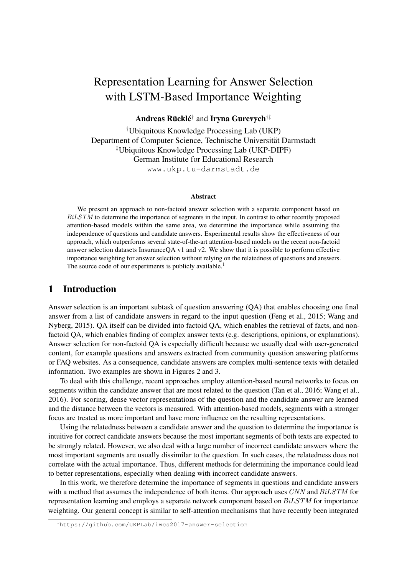# Representation Learning for Answer Selection with LSTM-Based Importance Weighting

Andreas Rücklé<sup>†</sup> and Iryna Gurevych<sup>†‡</sup>

†Ubiquitous Knowledge Processing Lab (UKP) Department of Computer Science, Technische Universität Darmstadt ‡Ubiquitous Knowledge Processing Lab (UKP-DIPF) German Institute for Educational Research www.ukp.tu-darmstadt.de

#### Abstract

We present an approach to non-factoid answer selection with a separate component based on BiLSTM to determine the importance of segments in the input. In contrast to other recently proposed attention-based models within the same area, we determine the importance while assuming the independence of questions and candidate answers. Experimental results show the effectiveness of our approach, which outperforms several state-of-the-art attention-based models on the recent non-factoid answer selection datasets InsuranceQA v1 and v2. We show that it is possible to perform effective importance weighting for answer selection without relying on the relatedness of questions and answers. The source code of our experiments is publicly available.<sup>1</sup>

## 1 Introduction

Answer selection is an important subtask of question answering (QA) that enables choosing one final answer from a list of candidate answers in regard to the input question (Feng et al., 2015; Wang and Nyberg, 2015). QA itself can be divided into factoid QA, which enables the retrieval of facts, and nonfactoid QA, which enables finding of complex answer texts (e.g. descriptions, opinions, or explanations). Answer selection for non-factoid QA is especially difficult because we usually deal with user-generated content, for example questions and answers extracted from community question answering platforms or FAQ websites. As a consequence, candidate answers are complex multi-sentence texts with detailed information. Two examples are shown in Figures 2 and 3.

To deal with this challenge, recent approaches employ attention-based neural networks to focus on segments within the candidate answer that are most related to the question (Tan et al., 2016; Wang et al., 2016). For scoring, dense vector representations of the question and the candidate answer are learned and the distance between the vectors is measured. With attention-based models, segments with a stronger focus are treated as more important and have more influence on the resulting representations.

Using the relatedness between a candidate answer and the question to determine the importance is intuitive for correct candidate answers because the most important segments of both texts are expected to be strongly related. However, we also deal with a large number of incorrect candidate answers where the most important segments are usually dissimilar to the question. In such cases, the relatedness does not correlate with the actual importance. Thus, different methods for determining the importance could lead to better representations, especially when dealing with incorrect candidate answers.

In this work, we therefore determine the importance of segments in questions and candidate answers with a method that assumes the independence of both items. Our approach uses CNN and BiLSTM for representation learning and employs a separate network component based on BiLSTM for importance weighting. Our general concept is similar to self-attention mechanisms that have recently been integrated

<sup>1</sup>https://github.com/UKPLab/iwcs2017-answer-selection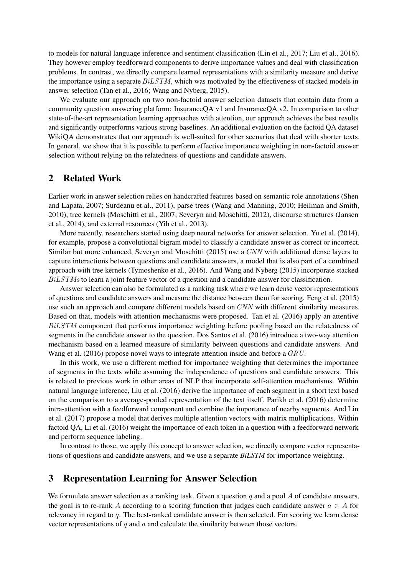to models for natural language inference and sentiment classification (Lin et al., 2017; Liu et al., 2016). They however employ feedforward components to derive importance values and deal with classification problems. In contrast, we directly compare learned representations with a similarity measure and derive the importance using a separate  $BiLSTM$ , which was motivated by the effectiveness of stacked models in answer selection (Tan et al., 2016; Wang and Nyberg, 2015).

We evaluate our approach on two non-factoid answer selection datasets that contain data from a community question answering platform: InsuranceQA v1 and InsuranceQA v2. In comparison to other state-of-the-art representation learning approaches with attention, our approach achieves the best results and significantly outperforms various strong baselines. An additional evaluation on the factoid QA dataset WikiQA demonstrates that our approach is well-suited for other scenarios that deal with shorter texts. In general, we show that it is possible to perform effective importance weighting in non-factoid answer selection without relying on the relatedness of questions and candidate answers.

#### 2 Related Work

Earlier work in answer selection relies on handcrafted features based on semantic role annotations (Shen and Lapata, 2007; Surdeanu et al., 2011), parse trees (Wang and Manning, 2010; Heilman and Smith, 2010), tree kernels (Moschitti et al., 2007; Severyn and Moschitti, 2012), discourse structures (Jansen et al., 2014), and external resources (Yih et al., 2013).

More recently, researchers started using deep neural networks for answer selection. Yu et al. (2014), for example, propose a convolutional bigram model to classify a candidate answer as correct or incorrect. Similar but more enhanced, Severyn and Moschitti (2015) use a CNN with additional dense layers to capture interactions between questions and candidate answers, a model that is also part of a combined approach with tree kernels (Tymoshenko et al., 2016). And Wang and Nyberg (2015) incorporate stacked BiLSTMs to learn a joint feature vector of a question and a candidate answer for classification.

Answer selection can also be formulated as a ranking task where we learn dense vector representations of questions and candidate answers and measure the distance between them for scoring. Feng et al. (2015) use such an approach and compare different models based on CNN with different similarity measures. Based on that, models with attention mechanisms were proposed. Tan et al. (2016) apply an attentive BiLSTM component that performs importance weighting before pooling based on the relatedness of segments in the candidate answer to the question. Dos Santos et al. (2016) introduce a two-way attention mechanism based on a learned measure of similarity between questions and candidate answers. And Wang et al. (2016) propose novel ways to integrate attention inside and before a  $GRU$ .

In this work, we use a different method for importance weighting that determines the importance of segments in the texts while assuming the independence of questions and candidate answers. This is related to previous work in other areas of NLP that incorporate self-attention mechanisms. Within natural language inference, Liu et al. (2016) derive the importance of each segment in a short text based on the comparison to a average-pooled representation of the text itself. Parikh et al. (2016) determine intra-attention with a feedforward component and combine the importance of nearby segments. And Lin et al. (2017) propose a model that derives multiple attention vectors with matrix multiplications. Within factoid QA, Li et al. (2016) weight the importance of each token in a question with a feedforward network and perform sequence labeling.

In contrast to those, we apply this concept to answer selection, we directly compare vector representations of questions and candidate answers, and we use a separate *BiLSTM* for importance weighting.

### 3 Representation Learning for Answer Selection

We formulate answer selection as a ranking task. Given a question  $q$  and a pool  $A$  of candidate answers, the goal is to re-rank A according to a scoring function that judges each candidate answer  $a \in A$  for relevancy in regard to q. The best-ranked candidate answer is then selected. For scoring we learn dense vector representations of  $q$  and  $a$  and calculate the similarity between those vectors.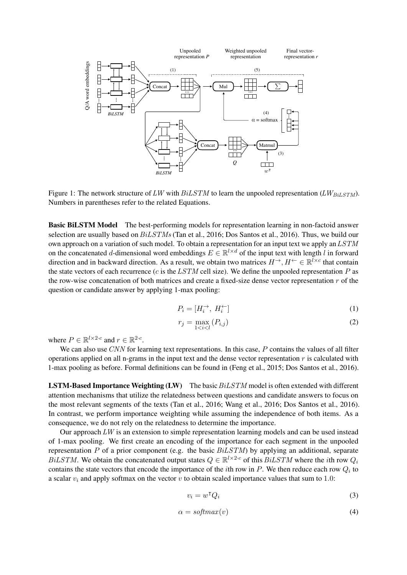

Figure 1: The network structure of LW with  $BiLSTM$  to learn the unpooled representation (LW $_{BiLSTM}$ ). Numbers in parentheses refer to the related Equations.

Basic BiLSTM Model The best-performing models for representation learning in non-factoid answer selection are usually based on  $BiLSTMs$  (Tan et al., 2016; Dos Santos et al., 2016). Thus, we build our own approach on a variation of such model. To obtain a representation for an input text we apply an LSTM on the concatenated d-dimensional word embeddings  $E \in \mathbb{R}^{l \times d}$  of the input text with length l in forward direction and in backward direction. As a result, we obtain two matrices  $H^{\to}, H^{\leftarrow} \in \mathbb{R}^{\bar{l} \times c}$  that contain the state vectors of each recurrence ( $c$  is the LSTM cell size). We define the unpooled representation  $P$  as the row-wise concatenation of both matrices and create a fixed-size dense vector representation r of the question or candidate answer by applying 1-max pooling:

$$
P_i = [H_i^{\rightarrow}, H_i^{\leftarrow}] \tag{1}
$$

$$
r_j = \max_{1 < i < l} (P_{i,j}) \tag{2}
$$

where  $P \in \mathbb{R}^{l \times 2 \cdot c}$  and  $r \in \mathbb{R}^{2 \cdot c}$ .

We can also use CNN for learning text representations. In this case, P contains the values of all filter operations applied on all n-grams in the input text and the dense vector representation  $r$  is calculated with 1-max pooling as before. Formal definitions can be found in (Feng et al., 2015; Dos Santos et al., 2016).

**LSTM-Based Importance Weighting (LW)** The basic  $BiLSTM$  model is often extended with different attention mechanisms that utilize the relatedness between questions and candidate answers to focus on the most relevant segments of the texts (Tan et al., 2016; Wang et al., 2016; Dos Santos et al., 2016). In contrast, we perform importance weighting while assuming the independence of both items. As a consequence, we do not rely on the relatedness to determine the importance.

Our approach  $LW$  is an extension to simple representation learning models and can be used instead of 1-max pooling. We first create an encoding of the importance for each segment in the unpooled representation  $P$  of a prior component (e.g. the basic  $BiLSTM$ ) by applying an additional, separate BiLSTM. We obtain the concatenated output states  $Q \in \mathbb{R}^{l \times 2 \cdot c}$  of this BiLSTM where the *i*th row  $Q_i$ contains the state vectors that encode the importance of the *i*th row in  $P$ . We then reduce each row  $Q_i$  to a scalar  $v_i$  and apply softmax on the vector v to obtain scaled importance values that sum to 1.0:

$$
v_i = w^\mathsf{T} Q_i \tag{3}
$$

$$
\alpha = softmax(v) \tag{4}
$$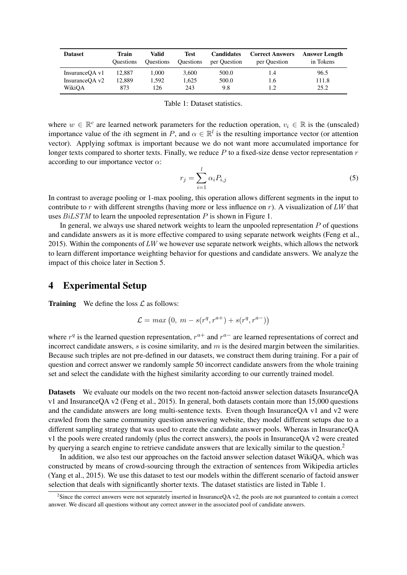| <b>Dataset</b> | Train<br><b>Ouestions</b> | Valid<br><b>Ouestions</b> | Test<br><b>Questions</b> | <b>Candidates</b><br>per Question | <b>Correct Answers</b><br>per Question | <b>Answer Length</b><br>in Tokens |
|----------------|---------------------------|---------------------------|--------------------------|-----------------------------------|----------------------------------------|-----------------------------------|
| InsuranceOA v1 | 12,887                    | 1.000                     | 3.600                    | 500.0                             | 1.4                                    | 96.5                              |
| InsuranceOA v2 | 12.889                    | 1.592                     | 1.625                    | 500.0                             | 1.6                                    | 111.8                             |
| WikiOA         | 873                       | 126                       | 243                      | 9.8                               | 1.2                                    | 25.2                              |

Table 1: Dataset statistics.

where  $w \in \mathbb{R}^c$  are learned network parameters for the reduction operation,  $v_i \in \mathbb{R}$  is the (unscaled) importance value of the *i*th segment in P, and  $\alpha \in \mathbb{R}^l$  is the resulting importance vector (or attention vector). Applying softmax is important because we do not want more accumulated importance for longer texts compared to shorter texts. Finally, we reduce  $P$  to a fixed-size dense vector representation  $r$ according to our importance vector  $\alpha$ :

$$
r_j = \sum_{i=1}^{l} \alpha_i P_{i,j} \tag{5}
$$

In contrast to average pooling or 1-max pooling, this operation allows different segments in the input to contribute to r with different strengths (having more or less influence on r). A visualization of LW that uses  $BiLSTM$  to learn the unpooled representation  $P$  is shown in Figure 1.

In general, we always use shared network weights to learn the unpooled representation  $P$  of questions and candidate answers as it is more effective compared to using separate network weights (Feng et al., 2015). Within the components of  $LW$  we however use separate network weights, which allows the network to learn different importance weighting behavior for questions and candidate answers. We analyze the impact of this choice later in Section 5.

#### 4 Experimental Setup

**Training** We define the loss  $\mathcal{L}$  as follows:

$$
\mathcal{L} = \max (0, \, m - s(r^q, r^{a+}) + s(r^q, r^{a-}))
$$

where  $r<sup>q</sup>$  is the learned question representation,  $r<sup>a+</sup>$  and  $r<sup>a-</sup>$  are learned representations of correct and incorrect candidate answers,  $s$  is cosine similarity, and  $m$  is the desired margin between the similarities. Because such triples are not pre-defined in our datasets, we construct them during training. For a pair of question and correct answer we randomly sample 50 incorrect candidate answers from the whole training set and select the candidate with the highest similarity according to our currently trained model.

Datasets We evaluate our models on the two recent non-factoid answer selection datasets InsuranceQA v1 and InsuranceQA v2 (Feng et al., 2015). In general, both datasets contain more than 15,000 questions and the candidate answers are long multi-sentence texts. Even though InsuranceQA v1 and v2 were crawled from the same community question answering website, they model different setups due to a different sampling strategy that was used to create the candidate answer pools. Whereas in InsuranceQA v1 the pools were created randomly (plus the correct answers), the pools in InsuranceQA v2 were created by querying a search engine to retrieve candidate answers that are lexically similar to the question.<sup>2</sup>

In addition, we also test our approaches on the factoid answer selection dataset WikiQA, which was constructed by means of crowd-sourcing through the extraction of sentences from Wikipedia articles (Yang et al., 2015). We use this dataset to test our models within the different scenario of factoid answer selection that deals with significantly shorter texts. The dataset statistics are listed in Table 1.

 ${}^{2}$ Since the correct answers were not separately inserted in InsuranceQA v2, the pools are not guaranteed to contain a correct answer. We discard all questions without any correct answer in the associated pool of candidate answers.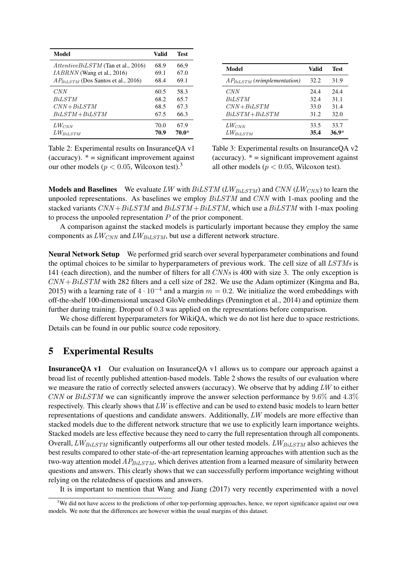| Model                                   | Valid | <b>Test</b> |
|-----------------------------------------|-------|-------------|
| $AttentionESTM$ (Tan et al., 2016)      | 68.9  | 66,9        |
| <i>IABRNN</i> (Wang et al., 2016)       | 69.1  | 67.0        |
| $AP_{BiLSTM}$ (Dos Santos et al., 2016) | 68.4  | 69.1        |
| CNN                                     | 60.5  | 58.3        |
| <i>BiLSTM</i>                           | 68.2  | 65.7        |
| $CNN + BiLSTM$                          | 68.5  | 67.3        |
| $BiLSTM + BiLSTM$                       | 67.5  | 66.3        |
| $LW_{CNN}$                              | 70.0  | 67.9        |
| $LW_{BiLSTM}$                           | 70.9  | 70.0*       |

Table 2: Experimental results on InsuranceQA v1 (accuracy).  $* =$  significant improvement against our other models ( $p < 0.05$ , Wilcoxon test).<sup>3</sup>

| Model                            | Valid | Test    |
|----------------------------------|-------|---------|
| $AP_{BiLSTM}$ (reimplementation) | 32.2  | 31.9    |
| CNN                              | 24.4  | 24.4    |
| <b>BiLSTM</b>                    | 32.4  | 31.1    |
| $CNN + BiLSTM$                   | 33.0  | 31.4    |
| $BiLSTM + BiLSTM$                | 31.2  | 32.0    |
| $LW_{CNN}$                       | 33.5  | 33.7    |
| $LW_{BiLSTM}$                    | 35.4  | $36.9*$ |

Table 3: Experimental results on InsuranceQA v2 (accuracy).  $* =$  significant improvement against all other models ( $p < 0.05$ , Wilcoxon test).

**Models and Baselines** We evaluate LW with  $BiLSTM$  (LW $_{BiLSTM}$ ) and CNN (LW $_{CNN}$ ) to learn the unpooled representations. As baselines we employ  $BiLSTM$  and  $CNN$  with 1-max pooling and the stacked variants  $CNN + BiLSTM$  and  $BiLSTM + BiLSTM$ , which use a  $BiLSTM$  with 1-max pooling to process the unpooled representation P of the prior component.

A comparison against the stacked models is particularly important because they employ the same components as  $LW_{CNN}$  and  $LW_{BiLSTM}$ , but use a different network structure.

Neural Network Setup We performed grid search over several hyperparameter combinations and found the optimal choices to be similar to hyperparameters of previous work. The cell size of all LSTMs is 141 (each direction), and the number of filters for all CNNs is 400 with size 3. The only exception is  $CNN + BiLSTM$  with 282 filters and a cell size of 282. We use the Adam optimizer (Kingma and Ba, 2015) with a learning rate of  $4 \cdot 10^{-4}$  and a margin  $m = 0.2$ . We initialize the word embeddings with off-the-shelf 100-dimensional uncased GloVe embeddings (Pennington et al., 2014) and optimize them further during training. Dropout of 0.3 was applied on the representations before comparison.

We chose different hyperparameters for WikiQA, which we do not list here due to space restrictions. Details can be found in our public source code repository.

#### 5 Experimental Results

InsuranceQA v1 Our evaluation on InsuranceQA v1 allows us to compare our approach against a broad list of recently published attention-based models. Table 2 shows the results of our evaluation where we measure the ratio of correctly selected answers (accuracy). We observe that by adding LW to either CNN or  $BiLSTM$  we can significantly improve the answer selection performance by 9.6% and 4.3% respectively. This clearly shows that  $LW$  is effective and can be used to extend basic models to learn better representations of questions and candidate answers. Additionally, LW models are more effective than stacked models due to the different network structure that we use to explicitly learn importance weights. Stacked models are less effective because they need to carry the full representation through all components. Overall,  $LW_{BiLSTM}$  significantly outperforms all our other tested models.  $LW_{BiLSTM}$  also achieves the best results compared to other state-of-the-art representation learning approaches with attention such as the two-way attention model  $AP_{BiLSTM}$ , which derives attention from a learned measure of similarity between questions and answers. This clearly shows that we can successfully perform importance weighting without relying on the relatedness of questions and answers.

It is important to mention that Wang and Jiang (2017) very recently experimented with a novel

 $3$ We did not have access to the predictions of other top-performing approaches, hence, we report significance against our own models. We note that the differences are however within the usual margins of this dataset.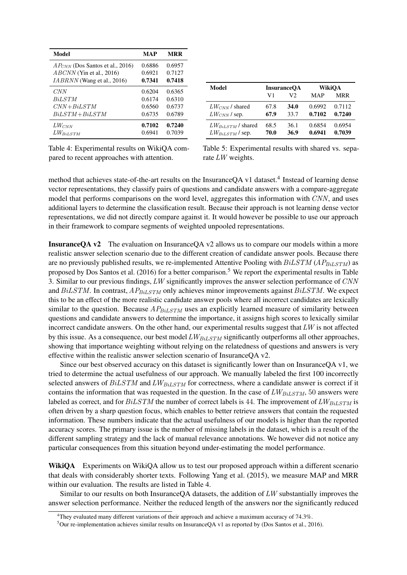| Model                                | MAP    | <b>MRR</b> |
|--------------------------------------|--------|------------|
| $AP_{CNN}$ (Dos Santos et al., 2016) | 0.6886 | 0.6957     |
| $ABCNN$ (Yin et al., 2016)           | 0.6921 | 0.7127     |
| $IABRNN$ (Wang et al., 2016)         | 0.7341 | 0.7418     |
| CNN                                  | 0.6204 | 0.6365     |
| <b>BiLSTM</b>                        | 0.6174 | 0.6310     |
| $CNN + BiLSTM$                       | 0.6560 | 0.6737     |
| $BiLSTM + BiLSTM$                    | 0.6735 | 0.6789     |
| $LW_{CNN}$                           | 0.7102 | 0.7240     |
| $LW_{BiLSTM}$                        | 0.6941 | 0.7039     |

Table 4: Experimental results on WikiQA compared to recent approaches with attention.

| Model                  | <b>InsuranceOA</b> |             | WikiOA |        |
|------------------------|--------------------|-------------|--------|--------|
|                        | V1                 | V2          | MAP    | MRR    |
| $LW_{CNN}$ / shared    | 67.8               | <b>34.0</b> | 0.6992 | 0.7112 |
| $LW_{CNN}$ / sep.      | 67.9               | 33.7        | 0.7102 | 0.7240 |
| $LW_{BiLSTM}$ / shared | 68.5               | 36.1        | 0.6854 | 0.6954 |
| $LW_{BiLSTM}$ / sep.   | 70.0               | 36.9        | 0.6941 | 0.7039 |

Table 5: Experimental results with shared vs. separate  $LW$  weights.

method that achieves state-of-the-art results on the InsuranceQA v1 dataset.<sup>4</sup> Instead of learning dense vector representations, they classify pairs of questions and candidate answers with a compare-aggregate model that performs comparisons on the word level, aggregates this information with  $CNN$ , and uses additional layers to determine the classification result. Because their approach is not learning dense vector representations, we did not directly compare against it. It would however be possible to use our approach in their framework to compare segments of weighted unpooled representations.

InsuranceQA v2 The evaluation on InsuranceQA v2 allows us to compare our models within a more realistic answer selection scenario due to the different creation of candidate answer pools. Because there are no previously published results, we re-implemented Attentive Pooling with  $BiLSTM$  ( $AP_{BiLSTM}$ ) as proposed by Dos Santos et al. (2016) for a better comparison.<sup>5</sup> We report the experimental results in Table 3. Similar to our previous findings, LW significantly improves the answer selection performance of CNN and  $BiLSTM$ . In contrast,  $AP_{BiLSTM}$  only achieves minor improvements against  $BiLSTM$ . We expect this to be an effect of the more realistic candidate answer pools where all incorrect candidates are lexically similar to the question. Because  $AP_{BiLSTM}$  uses an explicitly learned measure of similarity between questions and candidate answers to determine the importance, it assigns high scores to lexically similar incorrect candidate answers. On the other hand, our experimental results suggest that  $LW$  is not affected by this issue. As a consequence, our best model  $LW_{BiLSTM}$  significantly outperforms all other approaches, showing that importance weighting without relying on the relatedness of questions and answers is very effective within the realistic answer selection scenario of InsuranceQA v2.

Since our best observed accuracy on this dataset is significantly lower than on InsuranceQA v1, we tried to determine the actual usefulness of our approach. We manually labeled the first 100 incorrectly selected answers of  $BiLSTM$  and  $LW_{BiLSTM}$  for correctness, where a candidate answer is correct if it contains the information that was requested in the question. In the case of  $LW_{BiLSTM}$ , 50 answers were labeled as correct, and for  $BiLSTM$  the number of correct labels is 44. The improvement of  $LW_{BiLSTM}$  is often driven by a sharp question focus, which enables to better retrieve answers that contain the requested information. These numbers indicate that the actual usefulness of our models is higher than the reported accuracy scores. The primary issue is the number of missing labels in the dataset, which is a result of the different sampling strategy and the lack of manual relevance annotations. We however did not notice any particular consequences from this situation beyond under-estimating the model performance.

WikiQA Experiments on WikiQA allow us to test our proposed approach within a different scenario that deals with considerably shorter texts. Following Yang et al. (2015), we measure MAP and MRR within our evaluation. The results are listed in Table 4.

Similar to our results on both InsuranceQA datasets, the addition of  $LW$  substantially improves the answer selection performance. Neither the reduced length of the answers nor the significantly reduced

 $4$ They evaluated many different variations of their approach and achieve a maximum accuracy of 74.3%.

 $5$ Our re-implementation achieves similar results on InsuranceQA v1 as reported by (Dos Santos et al., 2016).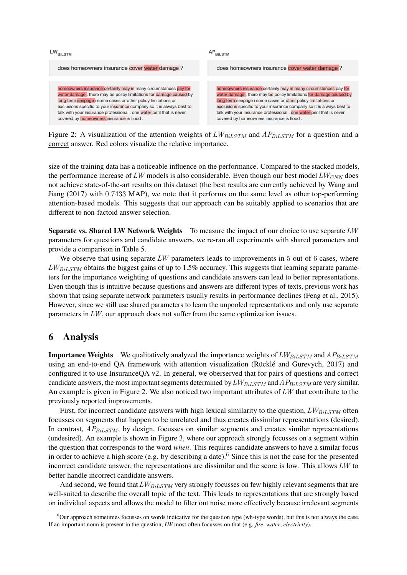

Figure 2: A visualization of the attention weights of  $LW_{BiLSTM}$  and  $AP_{BiLSTM}$  for a question and a correct answer. Red colors visualize the relative importance.

size of the training data has a noticeable influence on the performance. Compared to the stacked models, the performance increase of LW models is also considerable. Even though our best model  $LW_{CNN}$  does not achieve state-of-the-art results on this dataset (the best results are currently achieved by Wang and Jiang (2017) with 0.7433 MAP), we note that it performs on the same level as other top-performing attention-based models. This suggests that our approach can be suitably applied to scenarios that are different to non-factoid answer selection.

Separate vs. Shared LW Network Weights To measure the impact of our choice to use separate  $LW$ parameters for questions and candidate answers, we re-ran all experiments with shared parameters and provide a comparison in Table 5.

We observe that using separate  $LW$  parameters leads to improvements in 5 out of 6 cases, where  $LW_{Bil,STM}$  obtains the biggest gains of up to 1.5% accuracy. This suggests that learning separate parameters for the importance weighting of questions and candidate answers can lead to better representations. Even though this is intuitive because questions and answers are different types of texts, previous work has shown that using separate network parameters usually results in performance declines (Feng et al., 2015). However, since we still use shared parameters to learn the unpooled representations and only use separate parameters in  $LW$ , our approach does not suffer from the same optimization issues.

## 6 Analysis

**Importance Weights** We qualitatively analyzed the importance weights of  $LW_{BiLSTM}$  and  $AP_{BiLSTM}$ using an end-to-end QA framework with attention visualization (Rücklé and Gurevych, 2017) and configured it to use InsuranceQA v2. In general, we oberserved that for pairs of questions and correct candidate answers, the most important segments determined by  $LW_{BiLSTM}$  and  $AP_{BiLSTM}$  are very similar. An example is given in Figure 2. We also noticed two important attributes of  $LW$  that contribute to the previously reported improvements.

First, for incorrect candidate answers with high lexical similarity to the question,  $LW_{BiLSTM}$  often focusses on segments that happen to be unrelated and thus creates dissimilar representations (desired). In contrast,  $AP_{BiLSTM}$ , by design, focusses on similar segments and creates similar representations (undesired). An example is shown in Figure 3, where our approach strongly focusses on a segment within the question that corresponds to the word *when*. This requires candidate answers to have a similar focus in order to achieve a high score (e.g. by describing a date).<sup>6</sup> Since this is not the case for the presented incorrect candidate answer, the representations are dissimilar and the score is low. This allows LW to better handle incorrect candidate answers.

And second, we found that  $LW_{BiLSTM}$  very strongly focusses on few highly relevant segments that are well-suited to describe the overall topic of the text. This leads to representations that are strongly based on individual aspects and allows the model to filter out noise more effectively because irrelevant segments

 $6$ Our approach sometimes focusses on words indicative for the question type (wh-type words), but this is not always the case. If an important noun is present in the question, *LW* most often focusses on that (e.g. *fire*, *water*, *electricity*).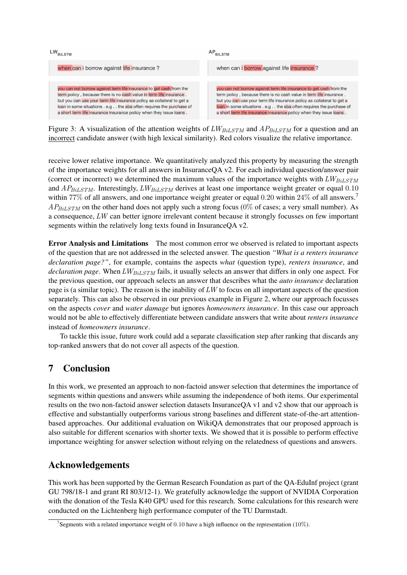

Figure 3: A visualization of the attention weights of  $LW_{BiLSTM}$  and  $AP_{BiLSTM}$  for a question and an incorrect candidate answer (with high lexical similarity). Red colors visualize the relative importance.

receive lower relative importance. We quantitatively analyzed this property by measuring the strength of the importance weights for all answers in InsuranceQA v2. For each individual question/answer pair (correct or incorrect) we determined the maximum values of the importance weights with  $LW_{BiLSTM}$ and  $AP_{BiLSTM}$ . Interestingly,  $LW_{BiLSTM}$  derives at least one importance weight greater or equal 0.10 within 77% of all answers, and one importance weight greater or equal 0.20 within 24% of all answers.<sup>7</sup>  $AP_{BiLSTM}$  on the other hand does not apply such a strong focus (0% of cases; a very small number). As a consequence, LW can better ignore irrelevant content because it strongly focusses on few important segments within the relatively long texts found in InsuranceQA v2.

Error Analysis and Limitations The most common error we observed is related to important aspects of the question that are not addressed in the selected answer. The question *"What is a renters insurance declaration page?"*, for example, contains the aspects *what* (question type), *renters insurance*, and *declaration page*. When LW<sub>BiLSTM</sub> fails, it usually selects an answer that differs in only one aspect. For the previous question, our approach selects an answer that describes what the *auto insurance* declaration page is (a similar topic). The reason is the inability of  $LW$  to focus on all important aspects of the question separately. This can also be observed in our previous example in Figure 2, where our approach focusses on the aspects *cover* and *water damage* but ignores *homeowners insurance*. In this case our approach would not be able to effectively differentiate between candidate answers that write about *renters insurance* instead of *homeowners insurance*.

To tackle this issue, future work could add a separate classification step after ranking that discards any top-ranked answers that do not cover all aspects of the question.

## 7 Conclusion

In this work, we presented an approach to non-factoid answer selection that determines the importance of segments within questions and answers while assuming the independence of both items. Our experimental results on the two non-factoid answer selection datasets InsuranceQA v1 and v2 show that our approach is effective and substantially outperforms various strong baselines and different state-of-the-art attentionbased approaches. Our additional evaluation on WikiQA demonstrates that our proposed approach is also suitable for different scenarios with shorter texts. We showed that it is possible to perform effective importance weighting for answer selection without relying on the relatedness of questions and answers.

## Acknowledgements

This work has been supported by the German Research Foundation as part of the QA-EduInf project (grant GU 798/18-1 and grant RI 803/12-1). We gratefully acknowledge the support of NVIDIA Corporation with the donation of the Tesla K40 GPU used for this research. Some calculations for this research were conducted on the Lichtenberg high performance computer of the TU Darmstadt.

<sup>&</sup>lt;sup>7</sup>Segments with a related importance weight of 0.10 have a high influence on the representation (10%).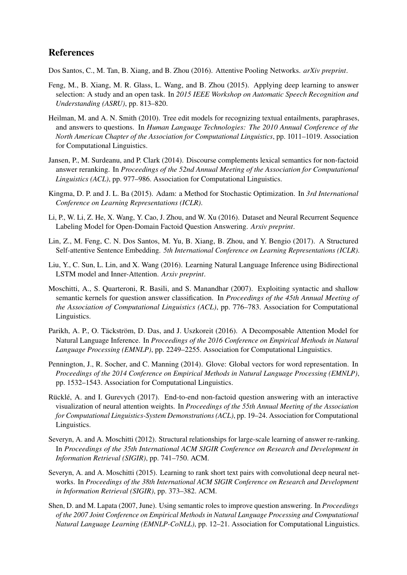## References

Dos Santos, C., M. Tan, B. Xiang, and B. Zhou (2016). Attentive Pooling Networks. *arXiv preprint*.

- Feng, M., B. Xiang, M. R. Glass, L. Wang, and B. Zhou (2015). Applying deep learning to answer selection: A study and an open task. In *2015 IEEE Workshop on Automatic Speech Recognition and Understanding (ASRU)*, pp. 813–820.
- Heilman, M. and A. N. Smith (2010). Tree edit models for recognizing textual entailments, paraphrases, and answers to questions. In *Human Language Technologies: The 2010 Annual Conference of the North American Chapter of the Association for Computational Linguistics*, pp. 1011–1019. Association for Computational Linguistics.
- Jansen, P., M. Surdeanu, and P. Clark (2014). Discourse complements lexical semantics for non-factoid answer reranking. In *Proceedings of the 52nd Annual Meeting of the Association for Computational Linguistics (ACL)*, pp. 977–986. Association for Computational Linguistics.
- Kingma, D. P. and J. L. Ba (2015). Adam: a Method for Stochastic Optimization. In *3rd International Conference on Learning Representations (ICLR)*.
- Li, P., W. Li, Z. He, X. Wang, Y. Cao, J. Zhou, and W. Xu (2016). Dataset and Neural Recurrent Sequence Labeling Model for Open-Domain Factoid Question Answering. *Arxiv preprint*.
- Lin, Z., M. Feng, C. N. Dos Santos, M. Yu, B. Xiang, B. Zhou, and Y. Bengio (2017). A Structured Self-attentive Sentence Embedding. *5th International Conference on Learning Representations (ICLR)*.
- Liu, Y., C. Sun, L. Lin, and X. Wang (2016). Learning Natural Language Inference using Bidirectional LSTM model and Inner-Attention. *Arxiv preprint*.
- Moschitti, A., S. Quarteroni, R. Basili, and S. Manandhar (2007). Exploiting syntactic and shallow semantic kernels for question answer classification. In *Proceedings of the 45th Annual Meeting of the Association of Computational Linguistics (ACL)*, pp. 776–783. Association for Computational Linguistics.
- Parikh, A. P., O. Täckström, D. Das, and J. Uszkoreit (2016). A Decomposable Attention Model for Natural Language Inference. In *Proceedings of the 2016 Conference on Empirical Methods in Natural Language Processing (EMNLP)*, pp. 2249–2255. Association for Computational Linguistics.
- Pennington, J., R. Socher, and C. Manning (2014). Glove: Global vectors for word representation. In *Proceedings of the 2014 Conference on Empirical Methods in Natural Language Processing (EMNLP)*, pp. 1532–1543. Association for Computational Linguistics.
- Rücklé, A. and I. Gurevych (2017). End-to-end non-factoid question answering with an interactive visualization of neural attention weights. In *Proceedings of the 55th Annual Meeting of the Association for Computational Linguistics-System Demonstrations (ACL)*, pp. 19–24. Association for Computational Linguistics.
- Severyn, A. and A. Moschitti (2012). Structural relationships for large-scale learning of answer re-ranking. In *Proceedings of the 35th International ACM SIGIR Conference on Research and Development in Information Retrieval (SIGIR)*, pp. 741–750. ACM.
- Severyn, A. and A. Moschitti (2015). Learning to rank short text pairs with convolutional deep neural networks. In *Proceedings of the 38th International ACM SIGIR Conference on Research and Development in Information Retrieval (SIGIR)*, pp. 373–382. ACM.
- Shen, D. and M. Lapata (2007, June). Using semantic roles to improve question answering. In *Proceedings of the 2007 Joint Conference on Empirical Methods in Natural Language Processing and Computational Natural Language Learning (EMNLP-CoNLL)*, pp. 12–21. Association for Computational Linguistics.